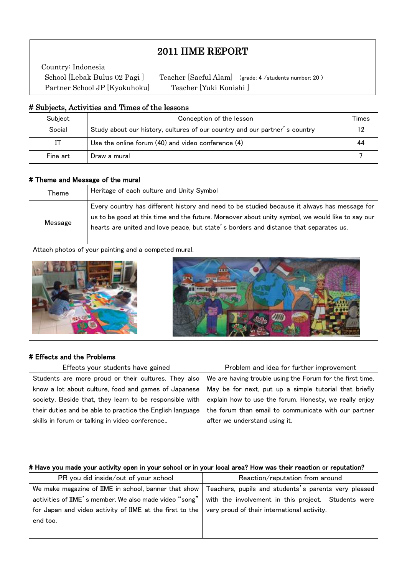# 2011 IIME REPORT

Country: Indonesia Partner School JP [Kyokuhoku] Teacher [Yuki Konishi ]

 $\mathsf I$  $\mathsf I$  $\mathsf I$ 

 $\mathsf I$ L School [Lebak Bulus 02 Pagi] Teacher [Saeful Alam] (grade: 4 /students number: 20)

#### # Subjects, Activities and Times of the lessons

| Subject  | Conception of the lesson                                                   |    |  |  |  |
|----------|----------------------------------------------------------------------------|----|--|--|--|
| Social   | Study about our history, cultures of our country and our partner's country | 12 |  |  |  |
|          | Use the online forum $(40)$ and video conference $(4)$                     | 44 |  |  |  |
| Fine art | Draw a mural                                                               |    |  |  |  |

#### # Theme and Message of the mural

| Theme   | Heritage of each culture and Unity Symbol                                                                                                                                                                                                                                                 |
|---------|-------------------------------------------------------------------------------------------------------------------------------------------------------------------------------------------------------------------------------------------------------------------------------------------|
| Message | Every country has different history and need to be studied because it always has message for<br>us to be good at this time and the future. Moreover about unity symbol, we would like to say our<br>hearts are united and love peace, but state's borders and distance that separates us. |

Attach photos of your painting and a competed mural.





## # Effects and the Problems

| Effects your students have gained                         | Problem and idea for further improvement                  |  |
|-----------------------------------------------------------|-----------------------------------------------------------|--|
| Students are more proud or their cultures. They also      | We are having trouble using the Forum for the first time. |  |
| know a lot about culture, food and games of Japanese      | May be for next, put up a simple tutorial that briefly    |  |
| society. Beside that, they learn to be responsible with   | explain how to use the forum. Honesty, we really enjoy    |  |
| their duties and be able to practice the English language | the forum than email to communicate with our partner      |  |
| skills in forum or talking in video conference            | after we understand using it.                             |  |
|                                                           |                                                           |  |

#### # Have you made your activity open in your school or in your local area? How was their reaction or reputation?

| PR you did inside/out of your school                                                                         | Reaction/reputation from around                                                                             |  |  |
|--------------------------------------------------------------------------------------------------------------|-------------------------------------------------------------------------------------------------------------|--|--|
|                                                                                                              | We make magazine of IIME in school, banner that show   Teachers, pupils and students's parents very pleased |  |  |
|                                                                                                              | activities of IIME's member. We also made video "song" with the involvement in this project. Students were  |  |  |
| for Japan and video activity of IIME at the first to the $\vert$ very proud of their international activity. |                                                                                                             |  |  |
| end too.                                                                                                     |                                                                                                             |  |  |
|                                                                                                              |                                                                                                             |  |  |